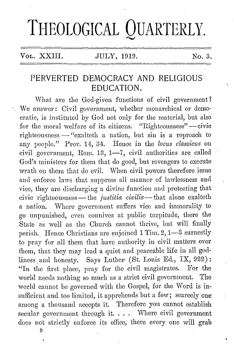## **THEOLOGICAL QUARTERLY.**

Vol. XXIII. JULY, 1919. No. 3.

## PERVERTED DEMOCRACY AND RELIGIOUS EDUCATION.

What are the God-given functions of civil government? We answer: Civil government, whether monarchical or democratic, is instituted by God not only for the material, but also for the moral welfare of its citizens. "Righteousness" -- civic righteousness - "exalteth a nation, but sin is a reproach to any people." Prov. 14, 34. Hence in the *locus classicus* on civil government, Rom. 13, 1-7, civil authorities are called God's ministers for them that do good, but revengers to execute wrath on them that do evil. When civil powers therefore issue and enforce laws that suppress all manner of lawlessness and vice, they are discharging a divine function and protecting that civic righteousness — the *justitia civilis* — that alone exalteth a nation. Where government suffers vice and immorality to go unpunished, even connives at public turpitude, there the State as well as the Church cannot thrive, but will finally perish. Hence Christians are enjoined 1 Tim. 2, 1-3 earnestly to pray for all them that have authority in civil matters over them, that they may lead a quiet and peaceable life in all godliness and honesty. Says Luther (St. Louis Ed., IX, 922): "In the first place, pray for the civil magistrates. For the world needs nothing so much as a strict civil government. The world cannot be governed with the Gospel, for the Word is insufficient and too limited, it apprehends but a few; scarcely one among a thousand accepts it. Therefore yon cannot establish secular government through it.  $\ldots$  Where civil government does not strictly enforce its office, there every one will grab

9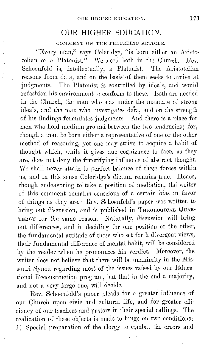## **OUR HIGHER EDUCATION.**

COMMENT ON THE PRECEDING ARTICLE.

"Every man," says Uoleridge, "is born either an Aristotelian or a Platonist." We need both in the Church. Rev. Schoenfeld is, intellectually, a Platonist. The Aristotelian reasons from data, and on the basis of them seeks to arrive at judgments. The Platonist is controlled by ideals, and would refashion his environment to conform to these. Both are needed in the Church, the man who acts under the mandate of strong ideals, and the man who investigates data, and on the strength of his findings formulates judgments. And there is a place for men who hold medium ground between the two tendencies; for, though a man be born either a representative of one or the other method of reasoning, yet one may strive to acquire a habit of thought which, while it gives due cognizance to facts as they are, docs not deny the fructifying influence of abstract thought. We shall never attain to perfect balance of these forces within us, and in this sense Coleridge's dictum remains true. Hence, though endeavoring to take a position of mediation, tho writer of this comment remains conscious of a certain bias in favor of things as they are. Rev. Schoonfeld's paper was written to bring out discussion, and is published in THEOLOGICAL QUAR-TERLY for the same reason. Naturally, discussion will bring out differences, and in decidiug for one position or the other, the fundamental attitude of those who set forth divergent views, their fundamental difference of mental habit, will be considered by the reader when he pronounces his verdict. Moreover, the writer does not believe that there will be unanimity in the Missouri Synod regarding most of the issues raised by our Educational Reconstruction program, hut that in the end a majority, and not a very large one, will decide.

Rev. Schoenfeld's paper pleads for a greater influence of our Qhurch upon civic and cultnral life, and for greater efficiency of our teachers and pastors in their special callings. The realization of these objects is made to hinge on two conditions: 1) Special preparation of the clergy to combat the errors and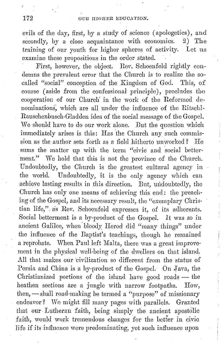evils of the day, first, by a study of science (apologetics), and<br>secondly, by a close acquaintance with economics. 2) The secondly, by a close acquaintance with economics. training of our youth for higher spheres of activity. Let us examine these propositions in the order stated.

First, however, the object. Rev. Schoenfeld rightly condemns tho prevalent error that tho Church is to realize the socalled "social" conception of the Kingdom of God. This, of course (aside from the confessional principle), precludes the cooperation of our Church' in the work of the Reformed denominations; which are all under the influence of tho Ritschl-Rauschenbusch-Gladdon idea of the social message of the Gospel. We should have to do our work alone. But the question which immediately arises is this: Has the Church any such commission as the author sets forth as a field hitherto unworkod? He sums the matter up with the term "civic and social betterment." We hold that this is not the province of the Church. Undoubtedly, the Church is the greatest cultural agency in the world. Undoubtedly, it is the only agency which can achieve lasting results in this direction. But, undoubtedly, the Church has only one means of achieving this end: tho preaching of the Gospel, and its necessary result, the "exemplary Christian life," as Rev. Schoenfeld expresses it, of its adherents. Social betterment is a by-product of the Gospel. *It* was so in ancient Galilee, when bloody Herod did "many things" under the influence of the Baptist's teachings, though he remained a reprobate. When Paul left Malta, there was a great improvement in tho physical well-being of the dwellers on that island. All that makes our 'civilization so different from the status of Persia and China is a by-product of the Gospel. On Java, the Christianized portions of the island have good roads  $-$  the heathen sections are a jungle with narrow footpaths. How, then, - shall road-making be termed a "purpose" of missionary endeavor? We might fill many pages with parallels. Granted that our Lutheran faith, being simply the ancient apostolic faith, would work tremendous changes for the better in civic life if its influence were predominating, yet such influence upon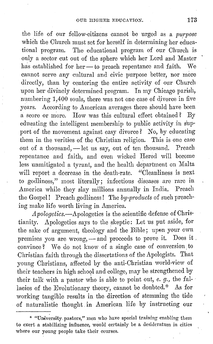the life of our fellow-citizens cannot be urged as a *purpose*  which the Church must set for herself in determining her educational program. The educational program of our Church is only a sector cut out of the sphere which her Lord and Master has established for her-to preach repentance and faith. We cannot serve any cultural and civic purpose better, nor more directly, than by centering the entire activity of our Church upon her divinely determined program. In my Chicago parish, numbering 1,400 souls, there was not one case of divorce in five years. According to American averages there should have been a score or more. How was this cultural effect obtained? By edueating the intelligent membership to public activity in support of the movement against easy divorce? No, by educating them in the verities of the Christian religion. This is one case out of a thousand, -let us say, out of ten thousand. Preach repentance and faith, and even wicked Herod will become less unmitigated a tyrant, and the health department on Malta will report a decrease in the death-rate. "Cleanliness is next to godliness," most literally; infections diseases are rare in America while they slay millions annually in India. Preach the Gospel! Preach godliness! The *by-products* of such preaching make life worth living in America.

*Apologetics.-Apologetics* is the scientific defense of Christianity. Apologetics says to the skeptic: Let us put aside, for the sake of argument, theology and the Bible; upon your own premises you are wrong, - and proceeds to prove it. Does it. convince? We do not know of a single case of conversion to Christian faith through the dissertations of the Apologists. That young Christians, affected by tho anti-Christian world-view of their teachers in high school and college, may be strengthened by their talk with a pastor who is able to point out, *e. g.*, the fallacies of the Evolutionary theory, cannot be doubted.\* As for working tangible results in the direction of stemming the tide of naturalistic thought. in American life by instructing our

<sup>\*</sup> "University. pastors," men who have special training enabling them to exert a stabilizing influence, would certainly be a desideratum in cities where our young people take their courses.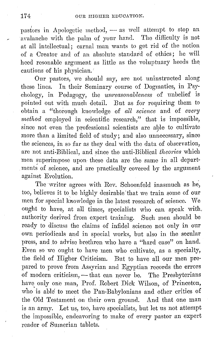pastors in Apologetic method, - as well attempt to stop an avalanche with the palm of your hand. The difficulty is not at all intellectual; carnal man wants to get rid of the notion of a Creator and of an absolute standard of ethics; he will heed resonable argument as little as the voluptuary heeds the cautions of his physician.

Our pastors, we should say, are not uninstructed along these lines. In their Seminary course of Dogmatics, in Psychology, in Pedagogy, the *unreasonableness* of unbelief is pointed out with much detail. But as for requiring them to obtain a "thorough knowledge of *all science* and of *every rnethod* employed in scientific research," that is impossible, since not even the professional scientists are alJle to cultivate more than a limited field of study; and also unnecessary, since the sciences, in so far as they deal with tho data of observation, are not anti-Biblical, and since the anti-Biblical *theories* which men superimpose upon these data are the same in all departments of science, and are practically covered by the argument against Evolution.

The writer agrees with Rev. Schoenfeld inasmuch as he, too, believes it to be highly desirable that we train some of our men for special knowledge in the latest research of science. We ought to have, at all times, specialists who can speak with, authority derived from expert training. Such men should be ready to discuss the claims of infidel science not only in our own periodicals and in special works, but also in the secular press, and to advise brethren who have a "hard case" on hand. Even so we ought to have men who cultivate, as a specialty, the field of Higher Criticism. But to have all our men prepared to prove from Assyrian and Egyptian records the errors of modern criticism, - that can never be. The Presbyterians have only one man, Prof. Robert Dick Wilson, of Princeton, who is able to meet the Pan-Babylonians and other critics of the Old Testament on their own ground. And that one man is an army. Let us, too, have specialists, but let us not attempt the impossible, endeavoring to make of every pastor an expert reader of Sumerian tablets.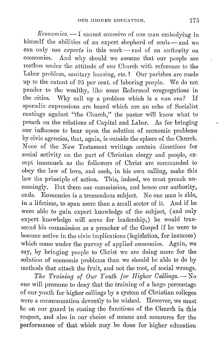*Economics.* — I cannot conceive of one man embodying in himself the abilities of an expert shepherd of souls — and we can only use *experts* in this work-and of an authority on economics. And why should we assume that our people are restless under the attitude of om Church with reference to the Labor problem, sanitary housing, etc.? Our parishes are made up to the extent of 95 per cent. of laboring people. We do not pander to the wealthy, like some Reformed congregations in tho cities. Why call up a problem which is a *non ens?* If sporadic expressions are heard which are an echo of Socialist rantings against "the Church," the pastor will know what to preach on the relations of Capital and Labor. As for bringing our influence to bear upon the solution of economic problems by civic agencies, that, again, is outside the sphere of the Church. None of the New Testament writings contain directions for social activity on the part of Christian clergy and people, except inasmuch as the followers of Christ arc commanded to obey the law of love, and each, in his own calling, make this law the principle of action. This, indeed, we must preach unceasingly. But there our commission, and hence onr authority, ends. Economies is a tremendous subject. No one man is able, in a lifetime, to span more than a small sector of it. And if he were able to gain export knowledge of tho subject, (and only export knowledge will serve for leadership,) he would transcend his commission as a preacher of the Gospel if he were to become active in tho civic implications (legislation, for instance) which come under the purvey of applied economics. Again, we say, by bringing people to Christ we arc doing more for the solution of economic problems than we should be able to do by methods that attack the fruit, and not the root, of social wrongs.

*The Training of Our Youth for Higher Callings.* -- No one will presume to deny that the training of a large percentage of our youth for higher callings by a system of Christian colleges were a consummation devoutly to be wished. However, we must be on our guard in stating the functions of tho Church in this respect, and also in our choice of means and measures for the performance of that which may be done for higher education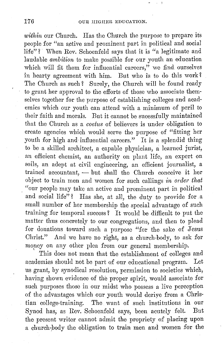within our Church. Has the Church the purpose to prepare its people for "an active and prominent part in political and social life"? When Rev. Schoenfeld says that it is "a legitimate and laudable ambition to make possible for our youth an education which will fit them for influential careers," we find ourselves in hearty agreement with him. But who is to do this work? The Church as such? Surely, the Church will be found ready to grant her approval to the efforts of those who associate themselves together for the purpose of establishing colleges and academies which our youth can attend with a minimum of peril to their faith and morals. But it cannot be sucessfully maintained that the Church as a coetus of believers is under obligation to create agencies which would serve the purpose of "fitting her youth for high and influential careers." It is a splendid thing to be a skilled architect, a capable physician, a learned jurist, an efficient chemist, an authority on plant life, an expert on soils, an adept at civil engineering, an efficient journalist, a  $trained$  accountant,  $-$  but shall the Church conceive it her object to train men and women for such callings *in order that*  , "our people may take an active and prominent part in political and social life"? Has she, at all, the duty to provide for a small number of her membership the special advantage of such training for temporal success? It would be difficult to put the matter thus concretely to our congregations, and then to plead for donations toward such a purpose "for the sake of Jesus Christ." And we have no right, as a church-body, to ask for money on any other plea from our general membership.

This does not mean that the establishment of colleges and academies should not be part of our educational program. Let us grant, by synodical resolution, permission to societies which, having shown evidence of the proper spirit, would associate for such purposes those in our midst who possess a live perception of the advantages which our youth would deriye from a Christian college-training. The want of such institutions in our Synod has, as Rev. Schoenfeld says, been acutely felt. But the present writer cannot admit the propriety of placing upon a church-body the obligation to train men and women for the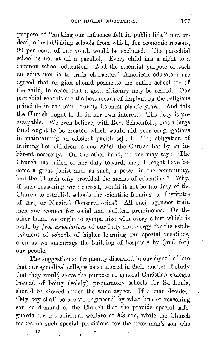purpose of "making our influence felt in public life," nor, indeed, of establishing schools from which, for economic reasons, 99 per cent. of our youth would be excluded. The parochial school is not at all a parallel. Every child has a right to a common school education. And the essential purpose of .such an education is to train character. American educators are agreed that religion should permeate the entire school-life of the child, in order that a good citizenry may be reared. Our parochial schools are the best means of implanting the religious principle in the mind during its most plastic years. And this the Church ought to do in her own interest. The duty is unescapable. We even believe, with Rev. Schoenfeld, that a large fund ought to be created which would aid poor congregations in maintaining an efficient parish school. The obligation of training her children is one which the Church has by an in herent necessity. On the other hand, no one may say: "The Church has failed of her duty towards me; I might have be come a great jurist and, as such, a power in the community, had the Church only provided the means of education." Why, if such reasoning were correct, would it not be the duty of the Church to establish schools for scientific farming, or Institutes of Art, or Musical Conservatories ? All such agencies train men and women for social and political prominence. On the other hand, we ought to sympathize with every effort which is made by *free associations* of our laity and clergy for the establishment of schools of higher learning and special vocations, even as we encourage the building of hospitals by (and for) our people.

The suggestion so frequently discussed in our Synod of late that our synodical colleges be so altered in their courses of study that they would serve the purpose of general Christian colleges instead of being (solely) preparatory schools for St. Louis, should be viewed under the same aspect. If a man decides: "My boy shall be a civil engineer," by what line of reasoning can he demand of the Church that she provide special safeguards for the spiritual welfare of his son, while the Church makes no such special provisions for the poor man's son who

12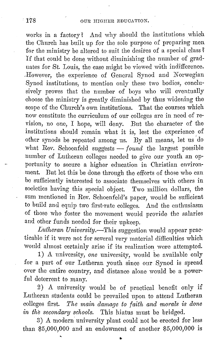works in a factory? And why should the institutions which the Church has built up for the sole purpose of preparing men for the ministry be altered to suit the desires of a special class? If that could be done without diminishing the number of graduates for St. Louis, the case might be viewed with indifference. ,However, the experience of General Synod and Norwegian Synod institutions, to mention only these two bodies, conclusively proves that the number of boys who will eventually choose the ministry is greatly diminished by thus widening the scope of the Church's own institutions. That the courses which now constitute the curriculum of our colleges are in need of revision, no one, I hope, will deny. But the character of the institutions should remain what it is, lest the experience of other synods be repeated among us. By all means, let us 'do what Rev. Schoenfeld suggests - *found* the largest possible number of Lutheran colleges needed to give our youth an opportunity to secure a higher education in Christian environment. But let this be done through the efforts of those who can be sufficiently interested to associate themselves with others in societies having this special object. Two million dollars, the sum mentioned in Rev. Schoenfeld's paper, would be sufficient to build and equip two first-rate colleges. And the enthusiasm of those who foster the movement would provide the salaries and other funds needed for their upkeep.

*Lutheran University.-This* suggestion would appear practicable if it were not for several very material difficulties which Would almost certainly arise if its realization were attempted.

1) *A* university, *one* university, would be available only for a part of our Lutheran youth since our Synod is spread over the entire country, and distance alone would be a powerful deterrent to many.

2) A university would be of practical benefit only if Lutheran students could be prevailed upon to attend Lutheran colleges first. *The main damage* to *faith and morals* is *done*  in the secondary schools. This hiatus must be bridged.

3) A modern university plant could not be erected for less than \$5,000,000 and an endowment of another \$5,000,000 is

..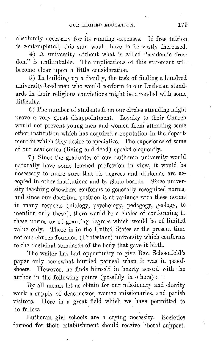absolutely necessary for its running expenses. If free tuition is contemplated, this sum would have to be vastly increased.

4) A university without what is called "academic free-<br>dom" is unthinkable. The implications of this statement will The implications of this statement will become clear upon a little consideration.

5) In building up a faculty, the task of finding a hundred university-bred men who would conform to our Lutheran standards in their religious convictions might be attended with some difficulty.

6) The number of students from our circles attending might prove a very great disappointment. Loyalty to their Church would not prevent young men and women from attending some other institution which has acquired a reputation in the department in which they desire to specialize. The experience of some of our academies (living and dead) speaks eloquently.

7) Since the graduates of our Lutheran university would naturally have some learned profession in view, it would be necessary to make sure that its degrees and diplomas are accepted in other institutions and by State boards. Since university teaching elsewhere conforms to generally recognized norms, and since our doctrinal position is at variande with these norms in many respects (biology, psychology, pedagogy, geology, to mention only these), there would be a choice of conforming to these norms or of granting degrees which would be of limited value only. There is in the United States at the present time not one church-founded (Protestant) university which conforms to the doctrinal standards of the body that gave it birth.

The writer has had opportunity to give Rev. Schoenfeld's paper only somewhat hurried perusal when it was in proofsheets. However, he finds himself in hearty accord with the author in the following points (possibly in others) :  $-$ 

By all means let us obtain for our missionary and charity work a supply of deaconesses, women missionaries, and parish visitors. Here is a great field which we have permitted to lie fallow.

Lutheran girl schools are a crying necessity. Societies formed for their establishment should receive liberal support.

 $\gamma$